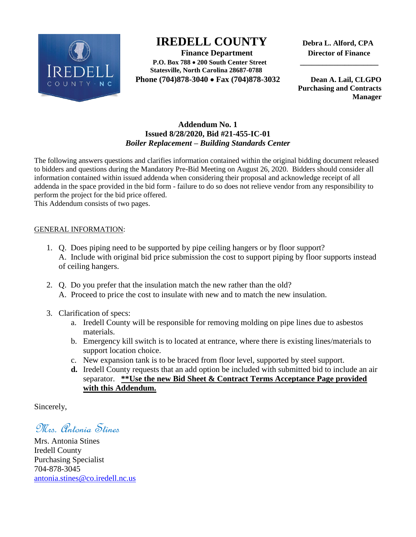

# **IREDELL COUNTY Debra L. Alford, CPA**

 **Finance Department Director of Finance P.O. Box 788 200 South Center Street \_\_\_\_\_\_\_\_\_\_\_\_\_\_\_\_\_\_\_\_\_ Statesville, North Carolina 28687-0788 Phone (704)878-3040 Fax (704)878-3032 Dean A. Lail, CLGPO** 

 **Purchasing and Contracts Manager**

# **Addendum No. 1 Issued 8/28/2020, Bid #21-455-IC-01** *Boiler Replacement – Building Standards Center*

The following answers questions and clarifies information contained within the original bidding document released to bidders and questions during the Mandatory Pre-Bid Meeting on August 26, 2020. Bidders should consider all information contained within issued addenda when considering their proposal and acknowledge receipt of all addenda in the space provided in the bid form - failure to do so does not relieve vendor from any responsibility to perform the project for the bid price offered.

This Addendum consists of two pages.

## GENERAL INFORMATION:

- 1. Q. Does piping need to be supported by pipe ceiling hangers or by floor support? A. Include with original bid price submission the cost to support piping by floor supports instead of ceiling hangers.
- 2. Q. Do you prefer that the insulation match the new rather than the old? A. Proceed to price the cost to insulate with new and to match the new insulation.
- 3. Clarification of specs:
	- a. Iredell County will be responsible for removing molding on pipe lines due to asbestos materials.
	- b. Emergency kill switch is to located at entrance, where there is existing lines/materials to support location choice.
	- c. New expansion tank is to be braced from floor level, supported by steel support.
	- **d.** Iredell County requests that an add option be included with submitted bid to include an air separator. **\*\*Use the new Bid Sheet & Contract Terms Acceptance Page provided with this Addendum.**

Sincerely,

Mrs. Antonia Stines

Mrs. Antonia Stines Iredell County Purchasing Specialist 704-878-3045 [antonia.stines@co.iredell.nc.us](mailto:antonia.stines@co.iredell.nc.us)